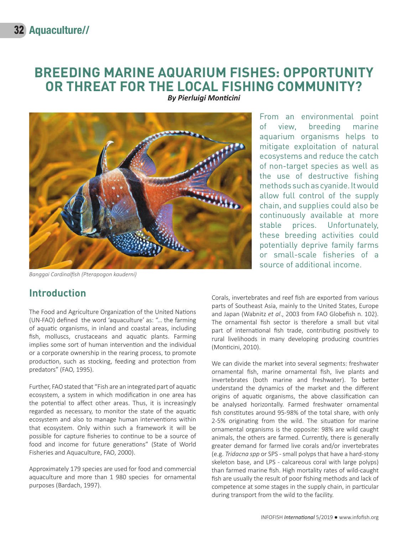# **BREEDING MARINE AQUARIUM FISHES: OPPORTUNITY OR THREAT FOR THE LOCAL FISHING COMMUNITY?**

*By Pierluigi Monticini*



*Banggai Cardinalfish (Pterapogon kauderni)*

# **Introduction**

The Food and Agriculture Organization of the United Nations (UN-FAO) defined the word 'aquaculture' as: "… the farming of aquatic organisms, in inland and coastal areas, including fish, molluscs, crustaceans and aquatic plants. Farming implies some sort of human intervention and the individual or a corporate ownership in the rearing process, to promote production, such as stocking, feeding and protection from predators" (FAO, 1995).

Further, FAO stated that "Fish are an integrated part of aquatic ecosystem, a system in which modification in one area has the potential to affect other areas. Thus, it is increasingly regarded as necessary, to monitor the state of the aquatic ecosystem and also to manage human interventions within that ecosystem. Only within such a framework it will be possible for capture fisheries to continue to be a source of food and income for future generations" (State of World Fisheries and Aquaculture, FAO, 2000).

Approximately 179 species are used for food and commercial aquaculture and more than 1 980 species for ornamental purposes (Bardach, 1997).

From an environmental point of view, breeding marine aquarium organisms helps to mitigate exploitation of natural ecosystems and reduce the catch of non-target species as well as the use of destructive fishing methods such as cyanide. It would allow full control of the supply chain, and supplies could also be continuously available at more stable prices. Unfortunately, these breeding activities could potentially deprive family farms or small-scale fisheries of a source of additional income.

Corals, invertebrates and reef fish are exported from various parts of Southeast Asia, mainly to the United States, Europe and Japan (Wabnitz *et al*., 2003 from FAO Globefish n. 102). The ornamental fish sector is therefore a small but vital part of international fish trade, contributing positively to rural livelihoods in many developing producing countries (Monticini, 2010).

We can divide the market into several segments: freshwater ornamental fish, marine ornamental fish, live plants and invertebrates (both marine and freshwater). To better understand the dynamics of the market and the different origins of aquatic organisms, the above classification can be analysed horizontally. Farmed freshwater ornamental fish constitutes around 95-98% of the total share, with only 2-5% originating from the wild. The situation for marine ornamental organisms is the opposite: 98% are wild caught animals, the others are farmed. Currently, there is generally greater demand for farmed live corals and/or invertebrates (e.g. *Tridacna spp* or SPS - small polyps that have a hard-stony skeleton base, and LPS - calcareous coral with large polyps) than farmed marine fish. High mortality rates of wild-caught fish are usually the result of poor fishing methods and lack of competence at some stages in the supply chain, in particular during transport from the wild to the facility.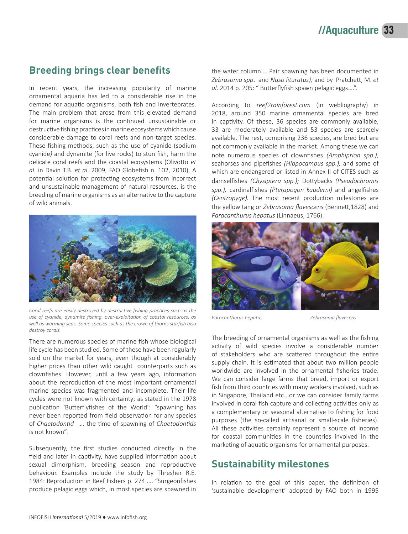### **Breeding brings clear benefits**

In recent years, the increasing popularity of marine ornamental aquaria has led to a considerable rise in the demand for aquatic organisms, both fish and invertebrates. The main problem that arose from this elevated demand for marine organisms is the continued unsustainable or destructive fishing practices in marine ecosystems which cause considerable damage to coral reefs and non-target species. These fishing methods, such as the use of cyanide (sodium cyanide*)* and dynamite (for live rocks) to stun fish, harm the delicate coral reefs and the coastal ecosystems (Olivotto *et al*. in Davin T.B. *et al*. 2009, FAO Globefish n. 102, 2010). A potential solution for protecting ecosystems from incorrect and unsustainable management of natural resources, is the breeding of marine organisms as an alternative to the capture of wild animals.



*Coral reefs are easily destroyed by destructive fishing practices such as the use of cyanide, dynamite fishing, over-exploitation of coastal resources, as well as warming seas. Some species such as the crown of thorns starfish also destroy corals.* 

There are numerous species of marine fish whose biological life cycle has been studied. Some of these have been regularly sold on the market for years, even though at considerably higher prices than other wild caught counterparts such as clownfishes. However, until a few years ago, information about the reproduction of the most important ornamental marine species was fragmented and incomplete. Their life cycles were not known with certainty; as stated in the 1978 publication 'Butterflyfishes of the World': "spawning has never been reported from field observation for any species of *Chaetodontid* …. the time of spawning of *Chaetodontids*  is not known".

Subsequently, the first studies conducted directly in the field and later in captivity, have supplied information about sexual dimorphism, breeding season and reproductive behaviour. Examples include the study by Thresher R.E. 1984: Reproduction in Reef Fishers p. 274 …. "Surgeonfishes produce pelagic eggs which, in most species are spawned in

the water column…. Pair spawning has been documented in *Zebrasoma spp*. and *Naso lituratus);* and by Pratchett, M. *et al*. 2014 p. 205: " Butterflyfish spawn pelagic eggs….".

According to *reef2rainforest.com* (in webliography) in 2018, around 350 marine ornamental species are bred in captivity. Of these, 36 species are commonly available, 33 are moderately available and 53 species are scarcely available. The rest, comprising 236 species, are bred but are not commonly available in the market. Among these we can note numerous species of clownfishes *(Amphiprion spp.),* seahorses and pipefishes *(Hippocampus spp.),* and some of which are endangered or listed in Annex II of CITES such as damselfishes *(Chysiptera spp.);* Dottybacks *(Pseudochromis spp.),* cardinalfishes *(Pterapogon kauderni)* and angelfishes *(Centropyge).* The most recent production milestones are the yellow tang or *Zebrasoma flavescens* (Bennett,1828) and *Paracanthurus hepatus* (Linnaeus, 1766).



*Paracanthurus hepatus Zebrasoma flavecens*

The breeding of ornamental organisms as well as the fishing activity of wild species involve a considerable number of stakeholders who are scattered throughout the entire supply chain. It is estimated that about two million people worldwide are involved in the ornamental fisheries trade. We can consider large farms that breed, import or export fish from third countries with many workers involved, such as in Singapore, Thailand etc., or we can consider family farms involved in coral fish capture and collecting activities only as a complementary or seasonal alternative to fishing for food purposes (the so-called artisanal or small-scale fisheries). All these activities certainly represent a source of income for coastal communities in the countries involved in the marketing of aquatic organisms for ornamental purposes.

## **Sustainability milestones**

In relation to the goal of this paper, the definition of 'sustainable development' adopted by FAO both in 1995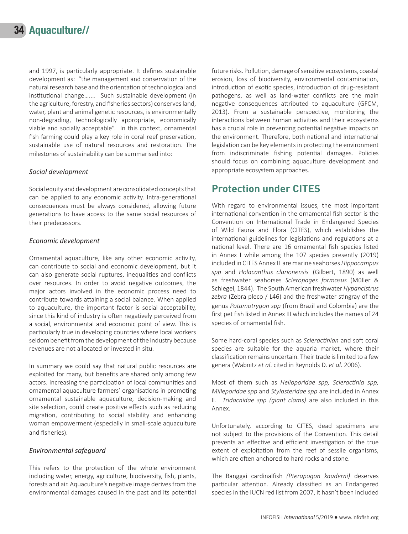and 1997, is particularly appropriate. It defines sustainable development as: "the management and conservation of the natural research base and the orientation of technological and institutional change….... Such sustainable development (in the agriculture, forestry, and fisheries sectors) conserves land, water, plant and animal genetic resources, is environmentally non-degrading, technologically appropriate, economically viable and socially acceptable". In this context, ornamental fish farming could play a key role in coral reef preservation, sustainable use of natural resources and restoration. The milestones of sustainability can be summarised into:

#### *Social development*

Social equity and development are consolidated concepts that can be applied to any economic activity. Intra-generational consequences must be always considered, allowing future generations to have access to the same social resources of their predecessors.

#### *Economic development*

Ornamental aquaculture, like any other economic activity, can contribute to social and economic development, but it can also generate social ruptures, inequalities and conflicts over resources. In order to avoid negative outcomes, the major actors involved in the economic process need to contribute towards attaining a social balance. When applied to aquaculture, the important factor is social acceptability, since this kind of industry is often negatively perceived from a social, environmental and economic point of view. This is particularly true in developing countries where local workers seldom benefit from the development of the industry because revenues are not allocated or invested in situ.

In summary we could say that natural public resources are exploited for many, but benefits are shared only among few actors. Increasing the participation of local communities and ornamental aquaculture farmers' organisations in promoting ornamental sustainable aquaculture, decision-making and site selection, could create positive effects such as reducing migration, contributing to social stability and enhancing woman empowerment (especially in small-scale aquaculture and fisheries).

#### *Environmental safeguard*

This refers to the protection of the whole environment including water, energy, agriculture, biodiversity, fish, plants, forests and air. Aquaculture's negative image derives from the environmental damages caused in the past and its potential

future risks. Pollution, damage of sensitive ecosystems, coastal erosion, loss of biodiversity, environmental contamination, introduction of exotic species, introduction of drug-resistant pathogens, as well as land-water conflicts are the main negative consequences attributed to aquaculture (GFCM, 2013). From a sustainable perspective, monitoring the interactions between human activities and their ecosystems has a crucial role in preventing potential negative impacts on the environment. Therefore, both national and international legislation can be key elements in protecting the environment from indiscriminate fishing potential damages. Policies should focus on combining aquaculture development and appropriate ecosystem approaches.

# **Protection under CITES**

With regard to environmental issues, the most important international convention in the ornamental fish sector is the Convention on International Trade in Endangered Species of Wild Fauna and Flora (CITES), which establishes the international guidelines for legislations and regulations at a national level. There are 16 ornamental fish species listed in Annex I while among the 107 species presently (2019) included in CITES Annex II are marine seahorses *Hippocampus spp* and *Holacanthus clarionensis* (Gilbert, 1890) as well as freshwater seahorses *Scleropages formosus* (Müller & Schlegel, 1844). The South American freshwater *Hypancistrus zebra* (Zebra pleco / L46) and the freshwater stingray of the genus *Potamotrygon spp* (from Brazil and Colombia) are the first pet fish listed in Annex III which includes the names of 24 species of ornamental fish.

Some hard-coral species such as *Scleractinian* and soft coral species are suitable for the aquaria market, where their classification remains uncertain. Their trade is limited to a few genera (Wabnitz *et al*. cited in Reynolds D. *et al*. 2006).

Most of them such as *Helioporidae spp, Scleractinia spp, Milleporidae spp* and *Stylasteridae spp* are included in Annex II. *Tridacnidae spp (giant clams)* are also included in this Annex.

Unfortunately, according to CITES, dead specimens are not subject to the provisions of the Convention. This detail prevents an effective and efficient investigation of the true extent of exploitation from the reef of sessile organisms, which are often anchored to hard rocks and stone.

The Banggai cardinalfish *(Pterapogon kauderni)* deserves particular attention. Already classified as an Endangered species in the IUCN red list from 2007, it hasn't been included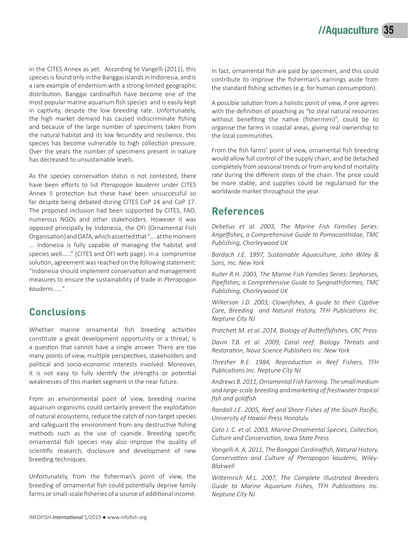in the CITES Annex as yet. According to Vangelli (2011), this species is found only in the Banggai Islands in Indonesia, and is a rare example of endemism with a strong limited geographic distribution. Banggai cardinalfish have become one of the most popular marine aquarium fish species and is easily kept in captivity, despite the low breeding rate. Unfortunately, the high market demand has caused indiscriminate fishing and because of the large number of specimens taken from the natural habitat and its low fecundity and resilience, this species has become vulnerable to high collection pressure. Over the years the number of specimens present in nature has decreased to unsustainable levels.

As the species conservation status is not contested, there have been efforts to list *Pterapogon kauderni* under CITES Annex II protection but these have been unsuccessful so far despite being debated during CITES CoP 14 and CoP 17. The proposed inclusion had been supported by CITES, FAO, numerous NGOs and other stakeholders. However it was opposed principally by Indonesia, the OFI (Ornamental Fish Organisation) and OATA, which asserted that "…. at the moment ... Indonesia is fully capable of managing the habitat and species well……" (CITES and OFI web page). In a compromise solution, agreement was reached on the following statement: "Indonesia should implement conservation and management measures to ensure the sustainability of trade in *Pterapogon kauderni……" .*

## **Conclusions**

Whether marine ornamental fish breeding activities constitute a great development opportunity or a threat, is a question that cannot have a single answer. There are too many points of view, multiple perspectives, stakeholders and political and socio-economic interests involved. Moreover, it is not easy to fully identify the strengths or potential weaknesses of this market segment in the near future.

From an environmental point of view, breeding marine aquarium organisms could certainly prevent the exploitation of natural ecosystems, reduce the catch of non-target species and safeguard the environment from any destructive fishing methods such as the use of cyanide. Breeding specific ornamental fish species may also improve the quality of scientific research, disclosure and development of new breeding techniques.

Unfortunately, from the fisherman's point of view, the breeding of ornamental fish could potentially deprive family farms or small-scale fisheries of a source of additional income. In fact, ornamental fish are paid by specimen, and this could contribute to improve the fisherman's earnings aside from the standard fishing activities (e.g. for human consumption).

A possible solution from a holistic point of view, if one agrees with the definition of poaching as "to steal natural resources without benefiting the native (fishermen)", could be to organise the farms in coastal areas, giving real ownership to the local communities.

From the fish farms' point of view, ornamental fish breeding would allow full control of the supply chain, and be detached completely from seasonal trends or from any kind of mortality rate during the different steps of the chain. The price could be more stable, and supplies could be regularised for the worldwide market throughout the year.

### **References**

*Debelius et al. 2003, The Marine Fish Families Series: Angelfishes, a Comprehensive Guide to Pomacanthidae, TMC Publishing, Chorleywood UK*

*Bardach J.E. 1997, Sustainable Aquaculture, John Wiley & Sons, Inc. New York*

*Kuiter R.H. 2003, The Marine Fish Families Series: Seahorses, Pipefishes; a Comprehensive Guide to Syngnathiformes, TMC Publishing, Chorleywood UK*

*Wilkerson J.D. 2003, Clownfishes, A guide to their Captive Care, Breeding and Natural History, TFH Publications Inc. Neptune City NJ*

*Pratchett M. et al. 2014, Biology of Butterflyfishes, CRC Press*

*Davin T.B. et al. 2009, Coral reef: Biology Threats and Restoration, Nova Science Publishers Inc. New York*

*Thresher R.E. 1984, Reproduction in Reef Fishers, TFH Publications Inc. Neptune City NJ*

*Andrews B. 2011, Ornamental Fish Farming. The small medium and large-scale breeding and marketing of freshwater tropical fish and goldfish*

*Randall J.E. 2005, Reef and Shore Fishes of the South Pacific, University of Hawaii Press Honolulu*

*Cato J. C. et al. 2003, Marine Ornamental Species, Collection, Culture and Conservation, Iowa State Press*

*Vangelli A. A, 2011, The Banggai Cardinalfish, Natural History, Conservation and Culture of Pterapogon kauderni, Wiley-Blakwell*

*Witternrich M.L. 2007, The Complete Illustrated Breeders Guide to Marine Aquarium Fishes, TFH Publications Inc. Neptune City NJ*